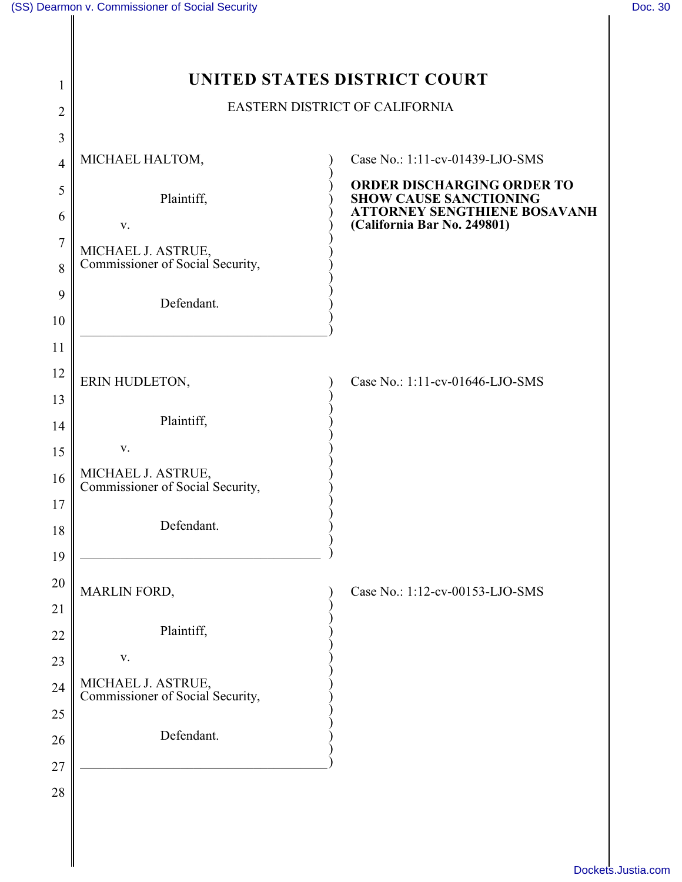| 1              | UNITED STATES DISTRICT COURT                           |                                                                                                    |  |
|----------------|--------------------------------------------------------|----------------------------------------------------------------------------------------------------|--|
| 2              | EASTERN DISTRICT OF CALIFORNIA                         |                                                                                                    |  |
| 3              |                                                        |                                                                                                    |  |
| $\overline{4}$ | MICHAEL HALTOM,                                        | Case No.: 1:11-cv-01439-LJO-SMS                                                                    |  |
| 5              | Plaintiff,                                             | ORDER DISCHARGING ORDER TO<br><b>SHOW CAUSE SANCTIONING</b><br><b>ATTORNEY SENGTHIENE BOSAVANH</b> |  |
| 6              | V.                                                     | (California Bar No. 249801)                                                                        |  |
| 7<br>8         | MICHAEL J. ASTRUE,<br>Commissioner of Social Security, |                                                                                                    |  |
| 9              | Defendant.                                             |                                                                                                    |  |
| 10             |                                                        |                                                                                                    |  |
| 11             |                                                        |                                                                                                    |  |
| 12             | ERIN HUDLETON,                                         | Case No.: 1:11-cv-01646-LJO-SMS                                                                    |  |
| 13             |                                                        |                                                                                                    |  |
| 14             | Plaintiff,                                             |                                                                                                    |  |
| 15             | V.                                                     |                                                                                                    |  |
| 16             | MICHAEL J. ASTRUE,<br>Commissioner of Social Security, |                                                                                                    |  |
| 17             |                                                        |                                                                                                    |  |
| 18             | Defendant.                                             |                                                                                                    |  |
| 19             |                                                        |                                                                                                    |  |
| 20             | MARLIN FORD,                                           | Case No.: 1:12-cv-00153-LJO-SMS                                                                    |  |
| 21             |                                                        |                                                                                                    |  |
| 22             | Plaintiff,                                             |                                                                                                    |  |
| 23             | $\mathbf{V}$ .                                         |                                                                                                    |  |
| 24             | MICHAEL J. ASTRUE,<br>Commissioner of Social Security, |                                                                                                    |  |
| 25             |                                                        |                                                                                                    |  |
| 26             | Defendant.                                             |                                                                                                    |  |
| 27             |                                                        |                                                                                                    |  |
| 28             |                                                        |                                                                                                    |  |
|                |                                                        |                                                                                                    |  |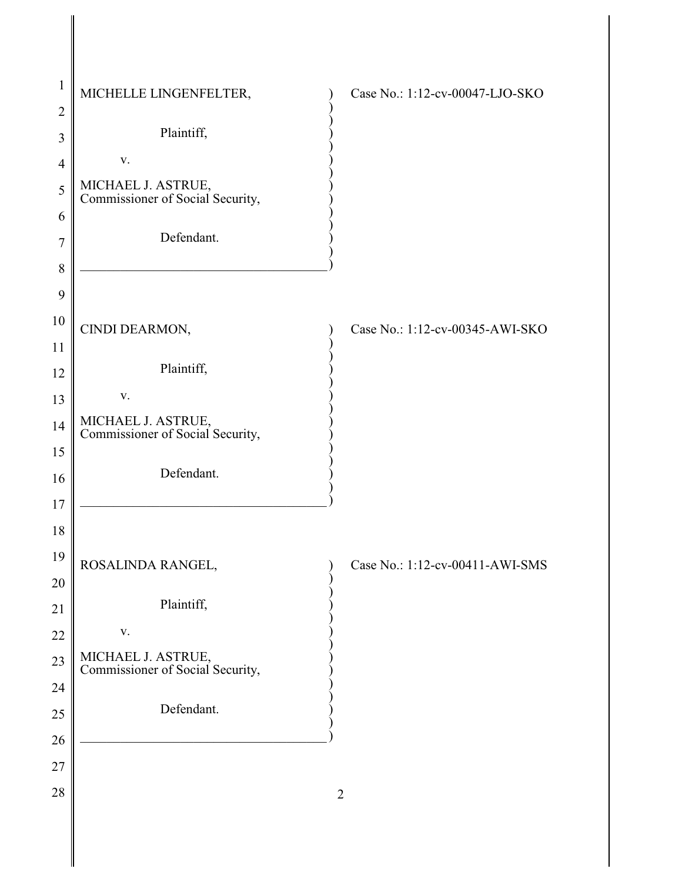| $\mathbf{1}$   | MICHELLE LINGENFELTER,                                 | Case No.: 1:12-cv-00047-LJO-SKO        |
|----------------|--------------------------------------------------------|----------------------------------------|
| $\overline{2}$ |                                                        |                                        |
| 3              | Plaintiff,                                             |                                        |
| $\overline{4}$ | ${\bf V}$ .                                            |                                        |
| 5              | MICHAEL J. ASTRUE,<br>Commissioner of Social Security, |                                        |
| 6              |                                                        |                                        |
| $\overline{7}$ | Defendant.                                             |                                        |
| 8              |                                                        |                                        |
| 9              |                                                        |                                        |
| 10             | CINDI DEARMON,                                         | Case No.: 1:12-cv-00345-AWI-SKO        |
| 11             |                                                        |                                        |
| 12             | Plaintiff,                                             |                                        |
| 13             | ${\bf V}$ .                                            |                                        |
| 14             | MICHAEL J. ASTRUE,<br>Commissioner of Social Security, |                                        |
| 15             |                                                        |                                        |
| 16             | Defendant.                                             |                                        |
| 17             |                                                        |                                        |
| 18             |                                                        |                                        |
| 19             | ROSALINDA RANGEL,                                      | (b) Case No.: $1:12$ -cv-00411-AWI-SMS |
| 20             |                                                        |                                        |
| 21             | Plaintiff,                                             |                                        |
| 22             | $\mathbf{V}$ .                                         |                                        |
| 23             | MICHAEL J. ASTRUE,<br>Commissioner of Social Security, |                                        |
| 24             |                                                        |                                        |
| $25\,$         | Defendant.                                             |                                        |
| 26             |                                                        |                                        |
| $27\,$         |                                                        |                                        |
| $28\,$         |                                                        | $\overline{2}$                         |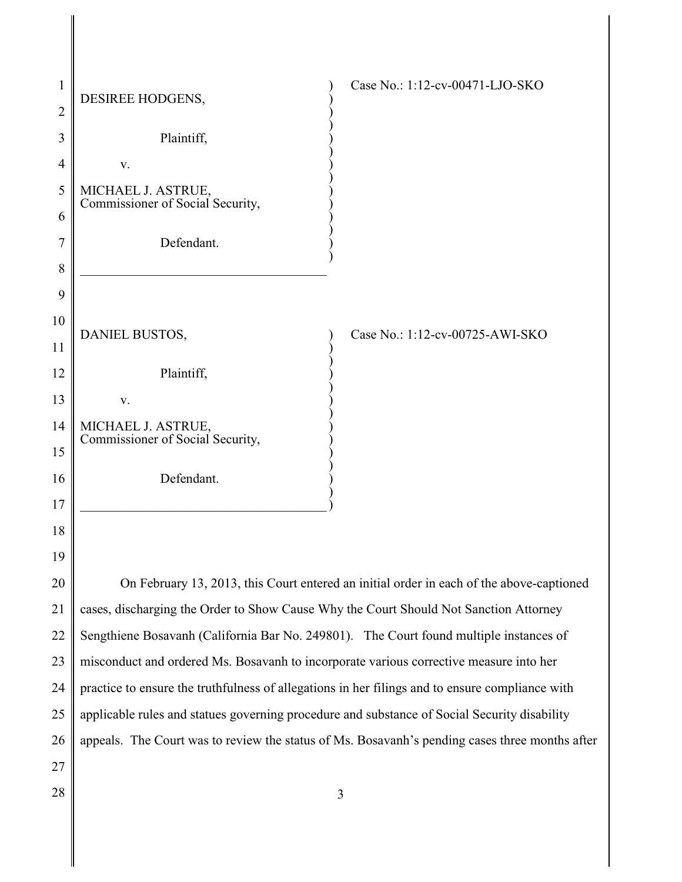| $\mathbf{1}$   | DESIREE HODGENS,                                                                                | Case No.: 1:12-cv-00471-LJO-SKO                                                                |  |
|----------------|-------------------------------------------------------------------------------------------------|------------------------------------------------------------------------------------------------|--|
| $\overline{2}$ |                                                                                                 |                                                                                                |  |
| 3              | Plaintiff,                                                                                      |                                                                                                |  |
| $\overline{4}$ | V.                                                                                              |                                                                                                |  |
| 5              | MICHAEL J. ASTRUE,<br>Commissioner of Social Security,                                          |                                                                                                |  |
| 6              |                                                                                                 |                                                                                                |  |
| 7              | Defendant.                                                                                      |                                                                                                |  |
| 8              |                                                                                                 |                                                                                                |  |
| 9              |                                                                                                 |                                                                                                |  |
| 10             | DANIEL BUSTOS,                                                                                  | Case No.: 1:12-cv-00725-AWI-SKO                                                                |  |
| 11             |                                                                                                 |                                                                                                |  |
| 12             | Plaintiff,                                                                                      |                                                                                                |  |
| 13             | V.                                                                                              |                                                                                                |  |
| 14             | MICHAEL J. ASTRUE,<br>Commissioner of Social Security,                                          |                                                                                                |  |
| 15             |                                                                                                 |                                                                                                |  |
| 16             | Defendant.                                                                                      |                                                                                                |  |
| 17             |                                                                                                 |                                                                                                |  |
| 18             |                                                                                                 |                                                                                                |  |
| 19             |                                                                                                 |                                                                                                |  |
| 20             | On February 13, 2013, this Court entered an initial order in each of the above-captioned        |                                                                                                |  |
| 21             | cases, discharging the Order to Show Cause Why the Court Should Not Sanction Attorney           |                                                                                                |  |
| 22             | Sengthiene Bosavanh (California Bar No. 249801). The Court found multiple instances of          |                                                                                                |  |
| 23             | misconduct and ordered Ms. Bosavanh to incorporate various corrective measure into her          |                                                                                                |  |
| 24             | practice to ensure the truthfulness of allegations in her filings and to ensure compliance with |                                                                                                |  |
| 25             | applicable rules and statues governing procedure and substance of Social Security disability    |                                                                                                |  |
| 26             |                                                                                                 | appeals. The Court was to review the status of Ms. Bosavanh's pending cases three months after |  |
| 27             |                                                                                                 |                                                                                                |  |
| 28             |                                                                                                 | 3                                                                                              |  |